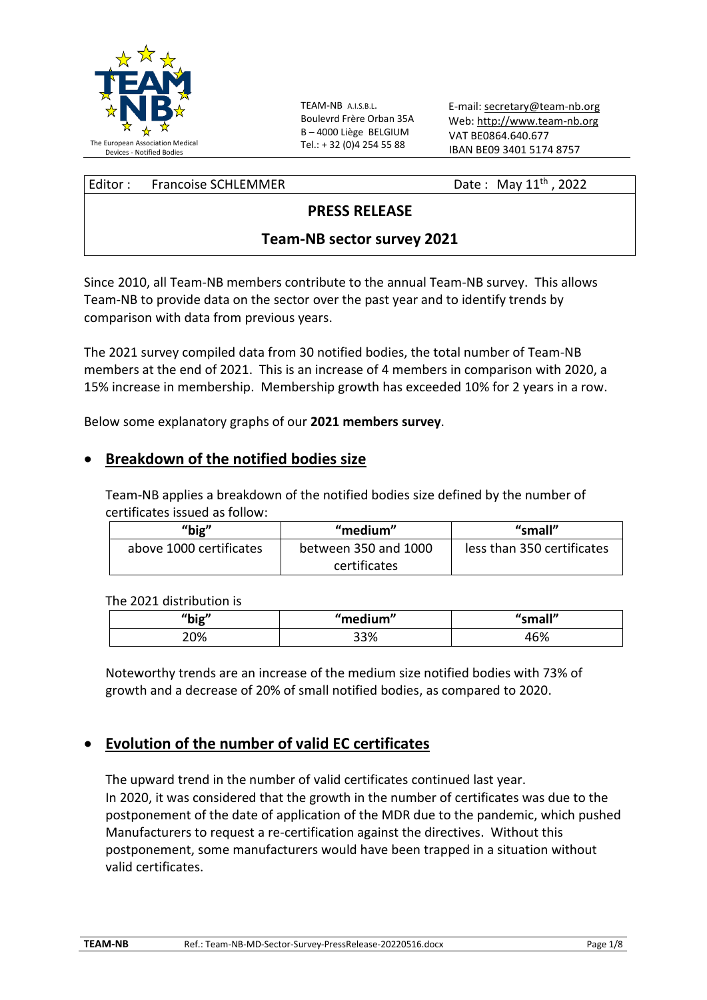

TEAM-NB A.I.S.B.L. Boulevrd Frère Orban 35A B – 4000 Liège BELGIUM Tel.: + 32 (0)4 254 55 88

E-mail: [secretary@team-nb.org](mailto:secretary@team-nb.org) Web: [http://www.team-nb.org](http://www.team-nb.org/) VAT BE0864.640.677 IBAN BE09 3401 5174 8757

| Editor: Francoise SCHLEMMER | Date: May $11^{th}$ , 2022 |
|-----------------------------|----------------------------|
|                             |                            |

### **PRESS RELEASE**

### **Team-NB sector survey 2021**

Since 2010, all Team-NB members contribute to the annual Team-NB survey. This allows Team-NB to provide data on the sector over the past year and to identify trends by comparison with data from previous years.

The 2021 survey compiled data from 30 notified bodies, the total number of Team-NB members at the end of 2021. This is an increase of 4 members in comparison with 2020, a 15% increase in membership. Membership growth has exceeded 10% for 2 years in a row.

Below some explanatory graphs of our **2021 members survey**.

#### • **Breakdown of the notified bodies size**

Team-NB applies a breakdown of the notified bodies size defined by the number of certificates issued as follow:

| " $big"$                | "medium"             | "small"                    |
|-------------------------|----------------------|----------------------------|
| above 1000 certificates | between 350 and 1000 | less than 350 certificates |
|                         | certificates         |                            |

The 2021 distribution is

| "big" | "medium" | $^{\prime\prime}$ cmall"<br>uan. |
|-------|----------|----------------------------------|
| 20%   | 33%      | 16%                              |

Noteworthy trends are an increase of the medium size notified bodies with 73% of growth and a decrease of 20% of small notified bodies, as compared to 2020.

### • **Evolution of the number of valid EC certificates**

The upward trend in the number of valid certificates continued last year. In 2020, it was considered that the growth in the number of certificates was due to the postponement of the date of application of the MDR due to the pandemic, which pushed Manufacturers to request a re-certification against the directives. Without this postponement, some manufacturers would have been trapped in a situation without valid certificates.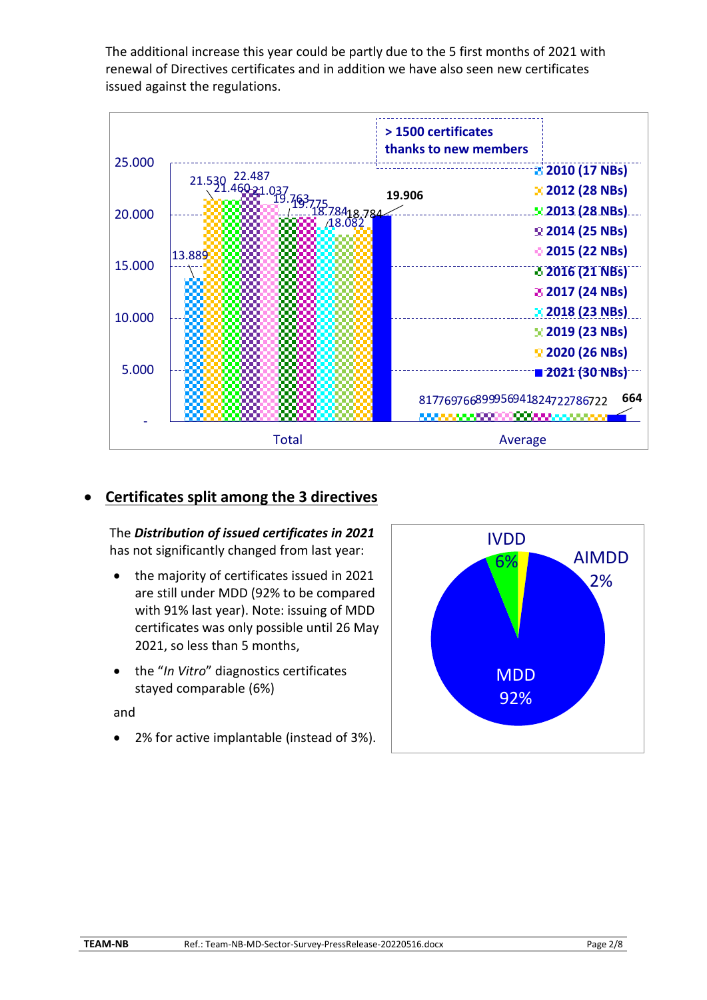The additional increase this year could be partly due to the 5 first months of 2021 with renewal of Directives certificates and in addition we have also seen new certificates issued against the regulations.



# • **Certificates split among the 3 directives**

The *Distribution of issued certificates in 2021* has not significantly changed from last year:

- the majority of certificates issued in 2021 are still under MDD (92% to be compared with 91% last year). Note: issuing of MDD certificates was only possible until 26 May 2021, so less than 5 months,
- the "*In Vitro*" diagnostics certificates stayed comparable (6%)

#### and

• 2% for active implantable (instead of 3%).

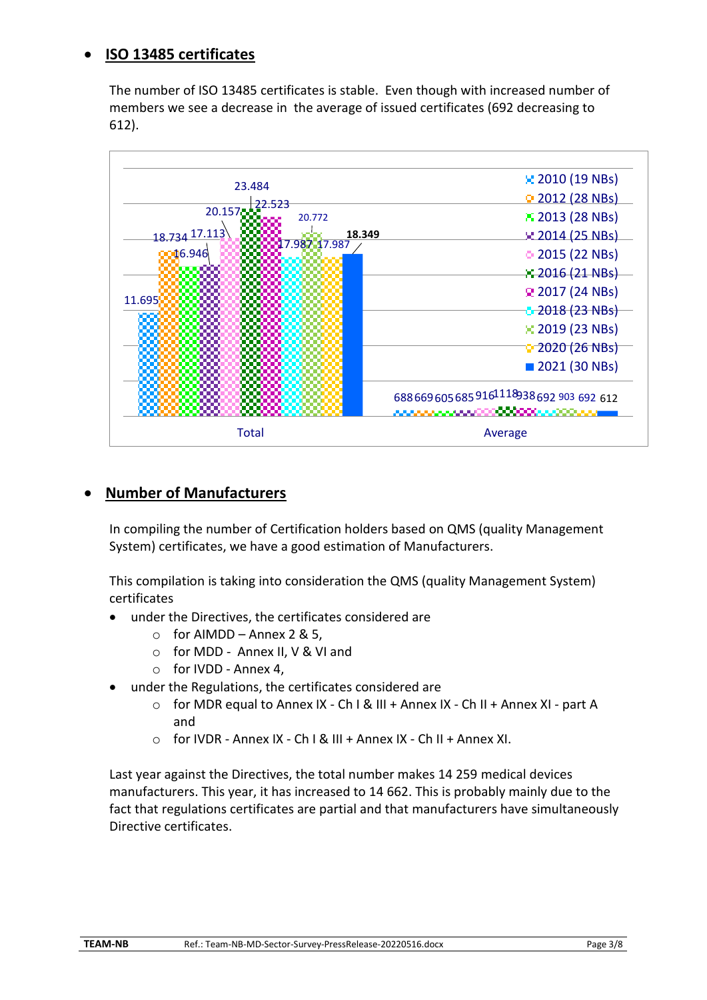# • **ISO 13485 certificates**

The number of ISO 13485 certificates is stable. Even though with increased number of members we see a decrease in the average of issued certificates (692 decreasing to 612).



### • **Number of Manufacturers**

In compiling the number of Certification holders based on QMS (quality Management System) certificates, we have a good estimation of Manufacturers.

This compilation is taking into consideration the QMS (quality Management System) certificates

- under the Directives, the certificates considered are
	- $\circ$  for AIMDD Annex 2 & 5.
	- o for MDD Annex II, V & VI and
	- o for IVDD Annex 4,
- under the Regulations, the certificates considered are
	- $\circ$  for MDR equal to Annex IX Ch I & III + Annex IX Ch II + Annex XI part A and
	- o for IVDR Annex IX Ch I & III + Annex IX Ch II + Annex XI.

Last year against the Directives, the total number makes 14 259 medical devices manufacturers. This year, it has increased to 14 662. This is probably mainly due to the fact that regulations certificates are partial and that manufacturers have simultaneously Directive certificates.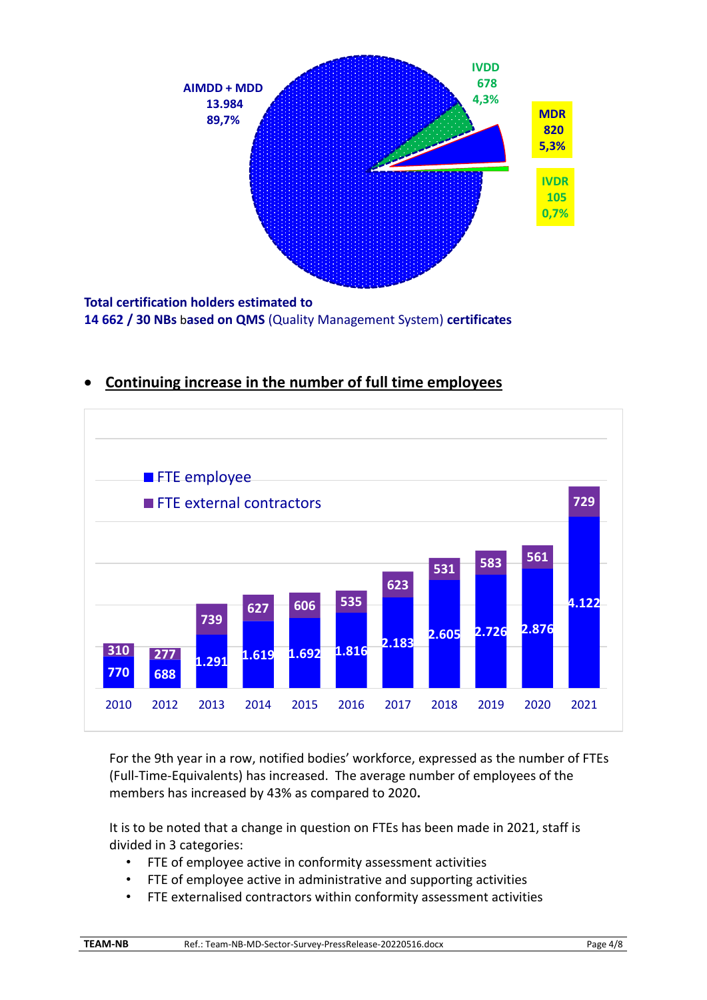

**14 662 / 30 NBs** b**ased on QMS** (Quality Management System) **certificates** 

# • **Continuing increase in the number of full time employees**



For the 9th year in a row, notified bodies' workforce, expressed as the number of FTEs (Full-Time-Equivalents) has increased. The average number of employees of the members has increased by 43% as compared to 2020**.**

It is to be noted that a change in question on FTEs has been made in 2021, staff is divided in 3 categories:

- FTE of employee active in conformity assessment activities
- FTE of employee active in administrative and supporting activities
- FTE externalised contractors within conformity assessment activities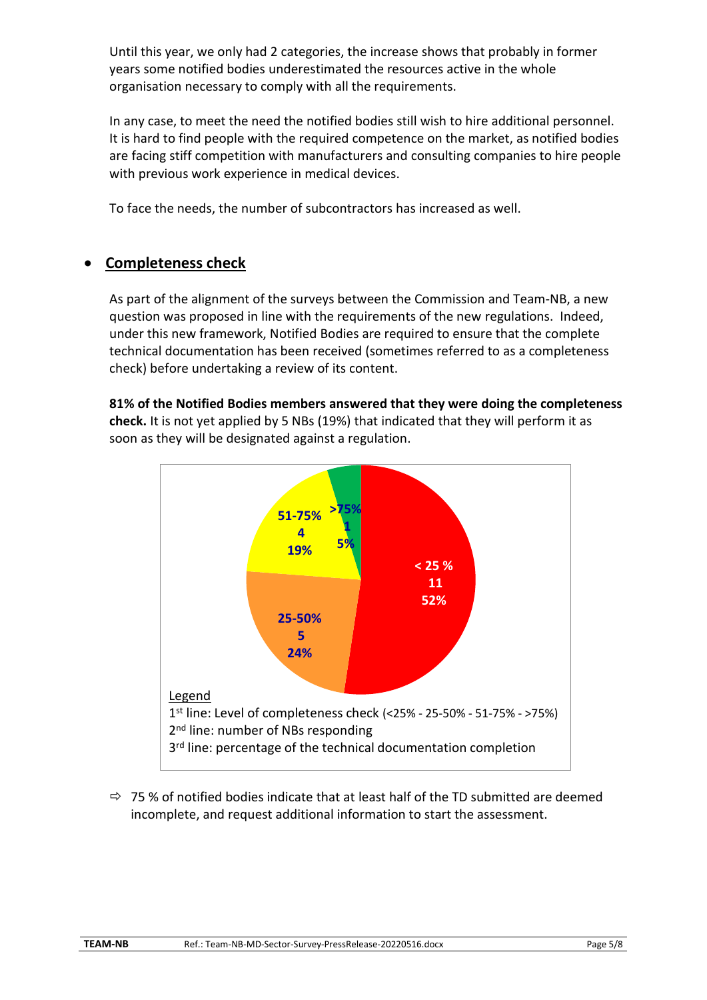Until this year, we only had 2 categories, the increase shows that probably in former years some notified bodies underestimated the resources active in the whole organisation necessary to comply with all the requirements.

In any case, to meet the need the notified bodies still wish to hire additional personnel. It is hard to find people with the required competence on the market, as notified bodies are facing stiff competition with manufacturers and consulting companies to hire people with previous work experience in medical devices.

To face the needs, the number of subcontractors has increased as well.

# • **Completeness check**

As part of the alignment of the surveys between the Commission and Team-NB, a new question was proposed in line with the requirements of the new regulations. Indeed, under this new framework, Notified Bodies are required to ensure that the complete technical documentation has been received (sometimes referred to as a completeness check) before undertaking a review of its content.

**81% of the Notified Bodies members answered that they were doing the completeness check.** It is not yet applied by 5 NBs (19%) that indicated that they will perform it as soon as they will be designated against a regulation.



 $\Rightarrow$  75% of notified bodies indicate that at least half of the TD submitted are deemed incomplete, and request additional information to start the assessment.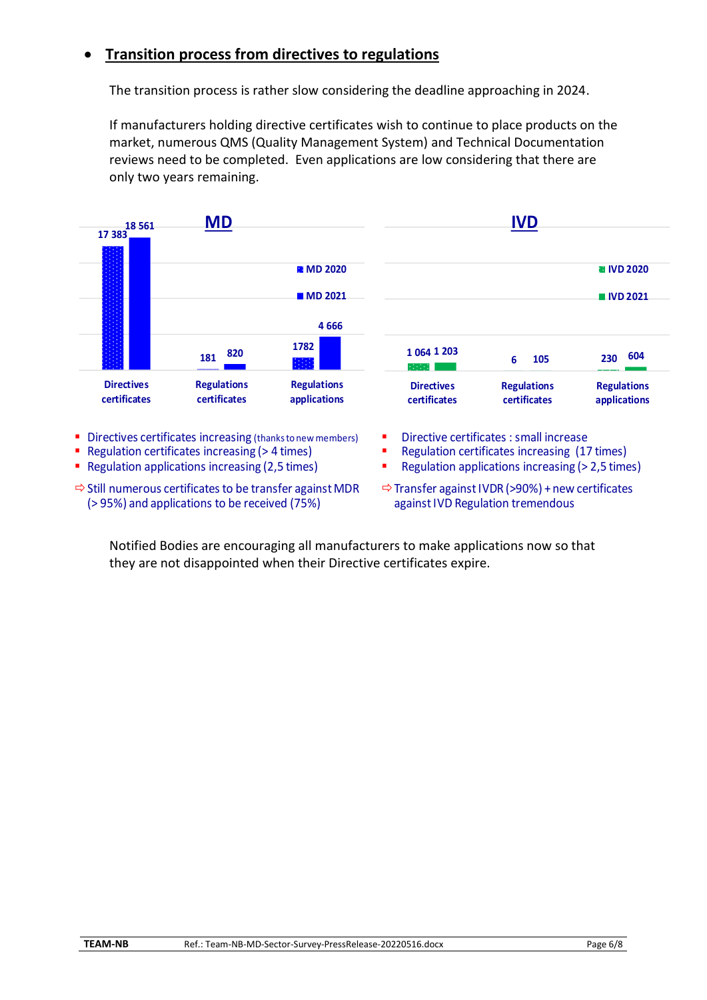### • **Transition process from directives to regulations**

The transition process is rather slow considering the deadline approaching in 2024.

If manufacturers holding directive certificates wish to continue to place products on the market, numerous QMS (Quality Management System) and Technical Documentation reviews need to be completed. Even applications are low considering that there are only two years remaining.



- $\Rightarrow$  Still numerous certificates to be transfer against MDR (> 95%) and applications to be received (75%)
- $\Rightarrow$  Transfer against IVDR (>90%) + new certificates againstIVD Regulation tremendous

Notified Bodies are encouraging all manufacturers to make applications now so that they are not disappointed when their Directive certificates expire.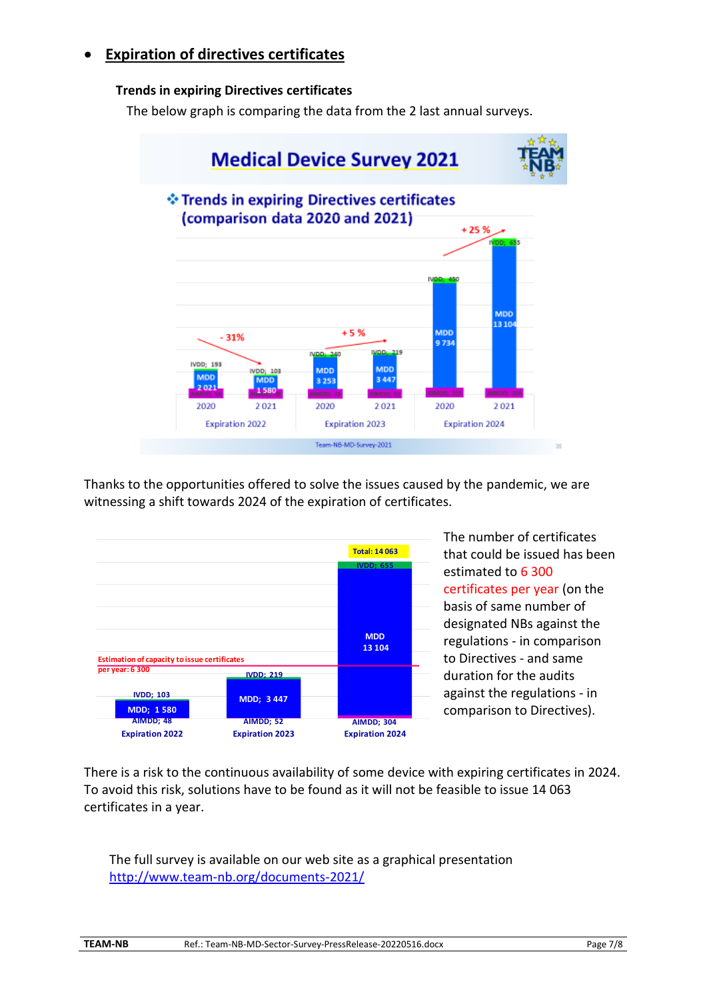# • **Expiration of directives certificates**

#### **Trends in expiring Directives certificates**

The below graph is comparing the data from the 2 last annual surveys.



Thanks to the opportunities offered to solve the issues caused by the pandemic, we are witnessing a shift towards 2024 of the expiration of certificates.



The number of certificates that could be issued has been estimated to 6 300 certificates per year (on the basis of same number of designated NBs against the regulations - in comparison to Directives - and same duration for the audits against the regulations - in comparison to Directives).

There is a risk to the continuous availability of some device with expiring certificates in 2024. To avoid this risk, solutions have to be found as it will not be feasible to issue 14 063 certificates in a year.

The full survey is available on our web site as a graphical presentation http://www.team-nb.org/documents-2021/